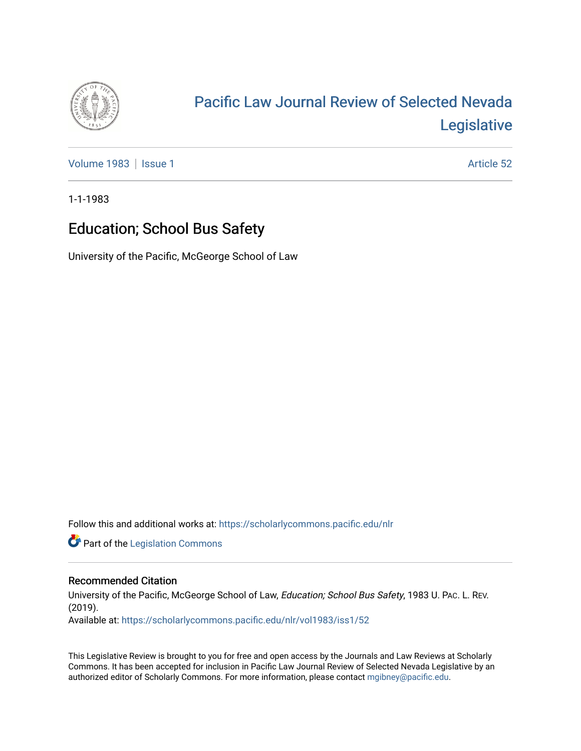

# [Pacific Law Journal Review of Selected Nevada](https://scholarlycommons.pacific.edu/nlr)  [Legislative](https://scholarlycommons.pacific.edu/nlr)

[Volume 1983](https://scholarlycommons.pacific.edu/nlr/vol1983) | [Issue 1](https://scholarlycommons.pacific.edu/nlr/vol1983/iss1) Article 52

1-1-1983

## Education; School Bus Safety

University of the Pacific, McGeorge School of Law

Follow this and additional works at: [https://scholarlycommons.pacific.edu/nlr](https://scholarlycommons.pacific.edu/nlr?utm_source=scholarlycommons.pacific.edu%2Fnlr%2Fvol1983%2Fiss1%2F52&utm_medium=PDF&utm_campaign=PDFCoverPages) 

**Part of the [Legislation Commons](http://network.bepress.com/hgg/discipline/859?utm_source=scholarlycommons.pacific.edu%2Fnlr%2Fvol1983%2Fiss1%2F52&utm_medium=PDF&utm_campaign=PDFCoverPages)** 

#### Recommended Citation

University of the Pacific, McGeorge School of Law, Education; School Bus Safety, 1983 U. PAc. L. REV. (2019). Available at: [https://scholarlycommons.pacific.edu/nlr/vol1983/iss1/52](https://scholarlycommons.pacific.edu/nlr/vol1983/iss1/52?utm_source=scholarlycommons.pacific.edu%2Fnlr%2Fvol1983%2Fiss1%2F52&utm_medium=PDF&utm_campaign=PDFCoverPages)

This Legislative Review is brought to you for free and open access by the Journals and Law Reviews at Scholarly Commons. It has been accepted for inclusion in Pacific Law Journal Review of Selected Nevada Legislative by an authorized editor of Scholarly Commons. For more information, please contact [mgibney@pacific.edu](mailto:mgibney@pacific.edu).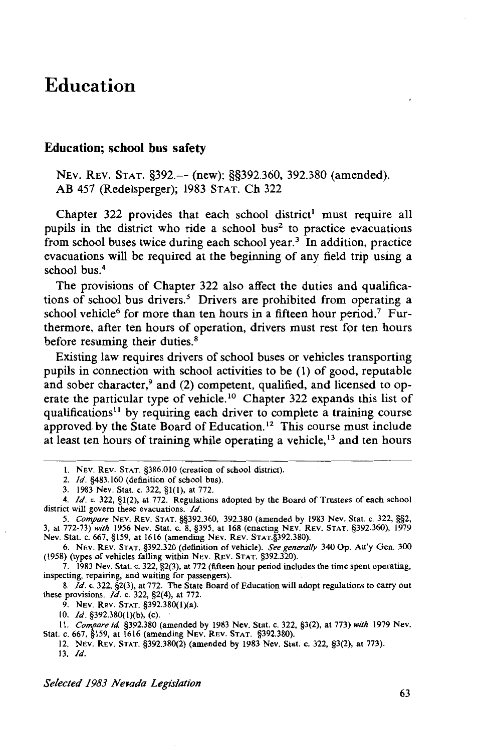### **Education**

#### **Education; school bus safety**

NEV. REV. STAT. §392.— (new); §§392.360, 392.380 (amended). AB 457 (Redelsperger); 1983 STAT. Ch 322

Chapter 322 provides that each school district<sup>1</sup> must require all pupils in the district who ride a school bus<sup>2</sup> to practice evacuations from school buses twice during each school year.<sup>3</sup> In addition, practice evacuations will be required at the beginning of any field trip using a school bus.<sup>4</sup>

The provisions of Chapter 322 also affect the duties and qualifications of school bus drivers.<sup>5</sup> Drivers are prohibited from operating a school vehicle<sup>6</sup> for more than ten hours in a fifteen hour period.<sup>7</sup> Furthermore, after ten hours of operation, drivers must rest for ten hours before resuming their duties.<sup>8</sup>

Existing law requires drivers of school buses or vehicles transporting pupils in connection with school activities to be (1) of good, reputable and sober character, $9$  and (2) competent, qualified, and licensed to operate the particular type of vehicle.<sup>10</sup> Chapter 322 expands this list of qualifications<sup> $11$ </sup> by requiring each driver to complete a training course approved by the State Board of Education.<sup>12</sup> This course must include at least ten hours of training while operating a vehicle, 13 and ten hours

7. 1983 Nev. Stat. c. 322,  $\S2(3)$ , at 772 (fifteen hour period includes the time spent operating, inspecting, repairing, and waiting for passengers).<br>8.  $Id$ . c. 322,  $\S2(3)$ , at 772. The State Board of Education will ado

these provisions. *Id.* c. 322, §2(4), at 772.

9. NEV. REV. STAT. §392.380(l)(a).

10. *Id.* §392.380(J)(b), (c).

II. *Compare id* §392.380 (amended by 1983 Nev. Stat. c. 322, §3(2), at 773) *with* 1979 Nev. Stat. c. 667, §159, at 1616 (amending NEV. REV. STAT. §392.380).

12. NEv. REv. STAT. §392.380(2) (amended by 1983 Nev. Stat. c. 322, §3(2), at 773). 13. *Id.* 

*Selected 1983 Nevada Legislation* 

<sup>1.</sup> NEV. REV. STAT. §386.010 (creation of school district).<br>2. Id. §483.160 (definition of school bus).

<sup>3.</sup> **1983 Nev. Stat. c. 322, §1(1), at 772.** 

<sup>4.</sup> *Id.* c. 322, §1(2), at 772. Regulations adopted by the Board of Trustees of each school district will govern these evacuations. *Id.* **1988** 1380 (amended by 1983 Nev. Stat. c. 322, §§2, *S. Compare NEV. REV. STAT.* §§392.360, 392.380 (amended by 1983 Nev. Stat. c. 322, §§2,

<sup>5.</sup> *Compare* NEv. REv. STAT. §§392.360, 392.380 (amended by 1983 Nev. Stat. c. 322, §§2, 3, at 772-73) *with* 1956 Nev. Stat. c. 8, §395, at 168 (enacting NEV. REv. STAT. §392.360), 1979 Nev. Stat. c. 667, §159, at 1616 (amending NEv. REv. STAT.§392.380).

<sup>6.</sup> NEv. REv. STAT. §392.320 (definition of vehicle). *See generally* 340 Op. Att'y Gen. 300 (1958) (types of vehicles falling within NEV. REV. STAT. §392.320).